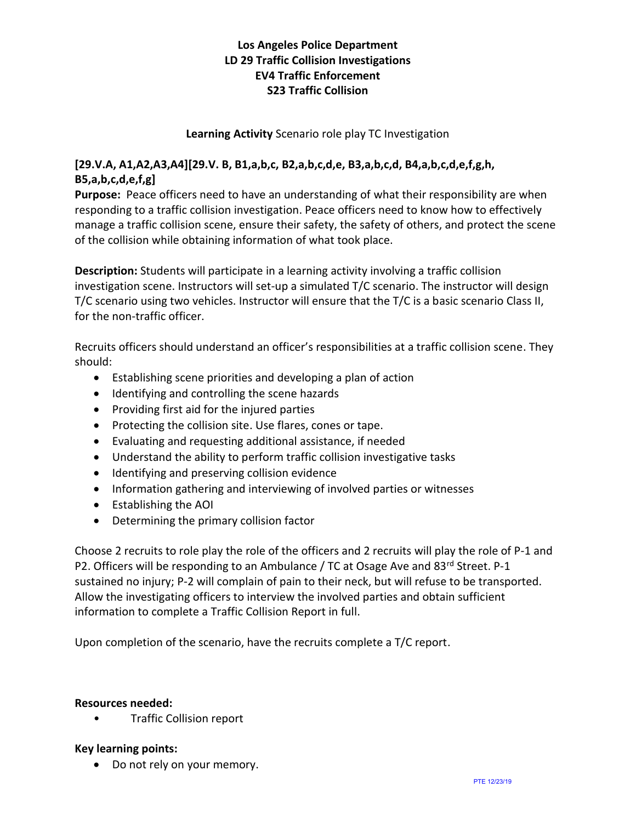# **Los Angeles Police Department LD 29 Traffic Collision Investigations EV4 Traffic Enforcement S23 Traffic Collision**

### **Learning Activity** Scenario role play TC Investigation

## **[29.V.A, A1,A2,A3,A4][29.V. B, B1,a,b,c, B2,a,b,c,d,e, B3,a,b,c,d, B4,a,b,c,d,e,f,g,h, B5,a,b,c,d,e,f,g]**

**Purpose:** Peace officers need to have an understanding of what their responsibility are when responding to a traffic collision investigation. Peace officers need to know how to effectively manage a traffic collision scene, ensure their safety, the safety of others, and protect the scene of the collision while obtaining information of what took place.

**Description:** Students will participate in a learning activity involving a traffic collision investigation scene. Instructors will set-up a simulated T/C scenario. The instructor will design T/C scenario using two vehicles. Instructor will ensure that the T/C is a basic scenario Class II, for the non-traffic officer.

Recruits officers should understand an officer's responsibilities at a traffic collision scene. They should:

- Establishing scene priorities and developing a plan of action
- Identifying and controlling the scene hazards
- Providing first aid for the injured parties
- Protecting the collision site. Use flares, cones or tape.
- Evaluating and requesting additional assistance, if needed
- Understand the ability to perform traffic collision investigative tasks
- Identifying and preserving collision evidence
- Information gathering and interviewing of involved parties or witnesses
- Establishing the AOI
- Determining the primary collision factor

Choose 2 recruits to role play the role of the officers and 2 recruits will play the role of P-1 and P2. Officers will be responding to an Ambulance / TC at Osage Ave and 83rd Street. P-1 sustained no injury; P-2 will complain of pain to their neck, but will refuse to be transported. Allow the investigating officers to interview the involved parties and obtain sufficient information to complete a Traffic Collision Report in full.

Upon completion of the scenario, have the recruits complete a T/C report.

#### **Resources needed:**

• Traffic Collision report

#### **Key learning points:**

• Do not rely on your memory.